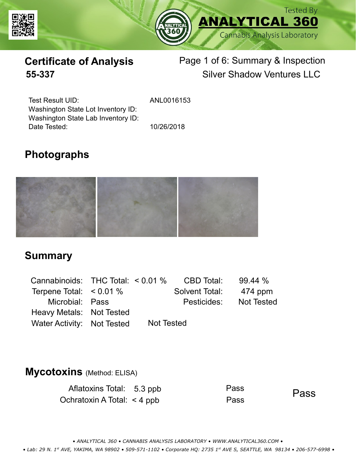



# **Certificate of Analysis** Page 1 of 6: Summary & Inspection **55-337** Silver Shadow Ventures LLC

Test Result UID: Washington State Lot Inventory ID: Date Tested: 10/26/2018 Washington State Lab Inventory ID:

ANL0016153

# **Photographs**



### **Summary**

| Cannabinoids: THC Total: $< 0.01$ % |            | CBD Total:     | 99.44%            |
|-------------------------------------|------------|----------------|-------------------|
| Terpene Total: $< 0.01 \%$          |            | Solvent Total: | 474 ppm           |
| Microbial: Pass                     |            | Pesticides:    | <b>Not Tested</b> |
| Heavy Metals: Not Tested            |            |                |                   |
| Water Activity: Not Tested          | Not Tested |                |                   |

### **Mycotoxins** (Method: ELISA)

| Aflatoxins Total: 5.3 ppb       | Pass | Pass |
|---------------------------------|------|------|
| Ochratoxin A Total: $\lt$ 4 ppb | Pass |      |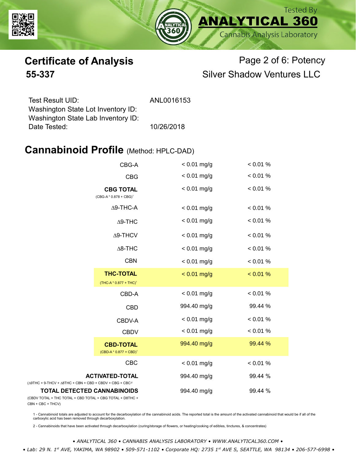



# **Certificate of Analysis** Page 2 of 6: Potency **55-337** Silver Shadow Ventures LLC

| ANL0016153 |
|------------|
|            |
|            |
| 10/26/2018 |
|            |

### **Cannabinoid Profile** (Method: HPLC-DAD)

|                                                                                                 | CBG-A                                                  | $< 0.01$ mg/g | < 0.01 % |
|-------------------------------------------------------------------------------------------------|--------------------------------------------------------|---------------|----------|
|                                                                                                 | <b>CBG</b>                                             | $< 0.01$ mg/g | < 0.01 % |
| <b>CBG TOTAL</b><br>(CBG-A*0.878 + CBG) <sup>1</sup>                                            |                                                        | $< 0.01$ mg/g | < 0.01 % |
|                                                                                                 | $\Delta$ 9-THC-A                                       | $< 0.01$ mg/g | < 0.01 % |
|                                                                                                 | $\Delta$ 9-THC                                         | $< 0.01$ mg/g | < 0.01 % |
|                                                                                                 | $\Delta$ 9-THCV                                        | $< 0.01$ mg/g | < 0.01 % |
|                                                                                                 | $\Delta$ 8-THC                                         | $< 0.01$ mg/g | < 0.01 % |
|                                                                                                 | <b>CBN</b>                                             | $< 0.01$ mg/g | < 0.01 % |
|                                                                                                 | <b>THC-TOTAL</b><br>(THC-A * 0.877 + THC) <sup>1</sup> | $< 0.01$ mg/g | < 0.01 % |
|                                                                                                 | CBD-A                                                  | $< 0.01$ mg/g | < 0.01 % |
|                                                                                                 | <b>CBD</b>                                             | 994.40 mg/g   | 99.44 %  |
|                                                                                                 | CBDV-A                                                 | $< 0.01$ mg/g | < 0.01 % |
|                                                                                                 | <b>CBDV</b>                                            | $< 0.01$ mg/g | < 0.01 % |
|                                                                                                 | <b>CBD-TOTAL</b><br>$(CBD-A * 0.877 + CBD)^1$          | 994.40 mg/g   | 99.44 %  |
|                                                                                                 | <b>CBC</b>                                             | $< 0.01$ mg/g | < 0.01 % |
| $(\Delta 9THC + 9-THCV + \Delta 8THC + CBN + CBD + CBDV + CBC + CBC)^2$                         | <b>ACTIVATED-TOTAL</b>                                 | 994.40 mg/g   | 99.44 %  |
| <b>TOTAL DETECTED CANNABINOIDS</b><br>(CBDV TOTAL + THC TOTAL + CBD TOTAL + CBG TOTAL + D8THC + |                                                        | 994.40 mg/g   | 99.44 %  |

(CBDV TOTAL + THC TOTAL + CBN + CBC + THCV)

1 - Cannabinoid totals are adjusted to account for the decarboxylation of the cannabinoid acids. The reported total is the amount of the activated cannabinoid that would be if all of the<br>carboxylic acid has been removed th

2 - Cannabinoids that have been activated through decarboxylation (curing/storage of flowers, or heating/cooking of edibles, tinctures, & concentrates)

*• ANALYTICAL 360 • CANNABIS ANALYSIS LABORATORY • WWW.ANALYTICAL360.COM • • Lab: 29 N. 1st AVE, YAKIMA, WA 98902 • 509-571-1102 • Corporate HQ: 2735 1st AVE S, SEATTLE, WA 98134 • 206-577-6998 •*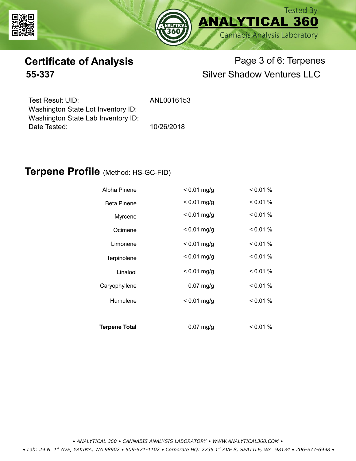



# **Certificate of Analysis** Page 3 of 6: Terpenes **55-337** Silver Shadow Ventures LLC

| Test Result UID:                   | ANL0016153 |
|------------------------------------|------------|
| Washington State Lot Inventory ID: |            |
| Washington State Lab Inventory ID: |            |
| Date Tested:                       | 10/26/2018 |

### **Terpene Profile** (Method: HS-GC-FID)

| Alpha Pinene         | $< 0.01$ mg/g | < 0.01 % |
|----------------------|---------------|----------|
| <b>Beta Pinene</b>   | $< 0.01$ mg/g | < 0.01 % |
| Myrcene              | $< 0.01$ mg/g | < 0.01 % |
| Ocimene              | $< 0.01$ mg/g | < 0.01 % |
| Limonene             | $< 0.01$ mg/g | < 0.01 % |
| Terpinolene          | $< 0.01$ mg/g | $0.01\%$ |
| Linalool             | $< 0.01$ mg/g | < 0.01 % |
| Caryophyllene        | $0.07$ mg/g   | < 0.01 % |
| Humulene             | $< 0.01$ mg/g | $0.01\%$ |
|                      |               |          |
| <b>Terpene Total</b> | $0.07$ mg/g   | $0.01\%$ |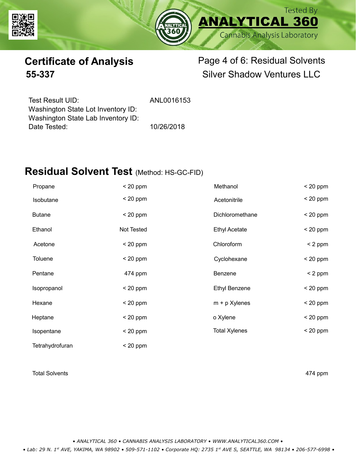



# **Certificate of Analysis** Page 4 of 6: Residual Solvents **55-337** Silver Shadow Ventures LLC

| Test Result UID:                   |  |
|------------------------------------|--|
| Washington State Lot Inventory ID: |  |
| Washington State Lab Inventory ID: |  |
| Date Tested:                       |  |

ANL0016153

10/26/2018

# **Residual Solvent Test** (Method: HS-GC-FID)

| Propane         | $< 20$ ppm | Methanol             | $< 20$ ppm |
|-----------------|------------|----------------------|------------|
| Isobutane       | $< 20$ ppm | Acetonitrile         | $< 20$ ppm |
| <b>Butane</b>   | $< 20$ ppm | Dichloromethane      | $< 20$ ppm |
| Ethanol         | Not Tested | <b>Ethyl Acetate</b> | $< 20$ ppm |
| Acetone         | $< 20$ ppm | Chloroform           | $< 2$ ppm  |
| <b>Toluene</b>  | $< 20$ ppm | Cyclohexane          | $< 20$ ppm |
| Pentane         | 474 ppm    | Benzene              | $< 2$ ppm  |
| Isopropanol     | $< 20$ ppm | <b>Ethyl Benzene</b> | $< 20$ ppm |
| Hexane          | $< 20$ ppm | $m + p$ Xylenes      | $< 20$ ppm |
| Heptane         | $< 20$ ppm | o Xylene             | $< 20$ ppm |
| Isopentane      | $< 20$ ppm | <b>Total Xylenes</b> | $< 20$ ppm |
| Tetrahydrofuran | $< 20$ ppm |                      |            |

### Total Solvents **474 ppm**

*• ANALYTICAL 360 • CANNABIS ANALYSIS LABORATORY • WWW.ANALYTICAL360.COM •*

 *• Lab: 29 N. 1st AVE, YAKIMA, WA 98902 • 509-571-1102 • Corporate HQ: 2735 1st AVE S, SEATTLE, WA 98134 • 206-577-6998 •*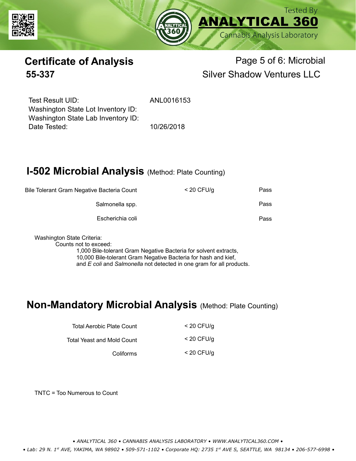



# **Certificate of Analysis Page 5 of 6: Microbial 55-337** Silver Shadow Ventures LLC

Test Result UID: ANL0016153 Date Tested: 10/26/2018 Washington State Lot Inventory ID: Washington State Lab Inventory ID:

# **I-502 Microbial Analysis (Method: Plate Counting)**

| Pass | $<$ 20 CFU/g | Bile Tolerant Gram Negative Bacteria Count |
|------|--------------|--------------------------------------------|
| Pass |              | Salmonella spp.                            |
| Pass |              | Escherichia coli                           |
|      |              |                                            |

Washington State Criteria:

Counts not to exceed:

1,000 Bile-tolerant Gram Negative Bacteria for solvent extracts, 10,000 Bile-tolerant Gram Negative Bacteria for hash and kief, and *E coli* and *Salmonella* not detected in one gram for all products.

### **Non-Mandatory Microbial Analysis** (Method: Plate Counting)

| Total Aerobic Plate Count  | $<$ 20 CFU/g |
|----------------------------|--------------|
| Total Yeast and Mold Count | $<$ 20 CFU/g |
| Coliforms                  | $<$ 20 CFU/g |

TNTC = Too Numerous to Count

*• ANALYTICAL 360 • CANNABIS ANALYSIS LABORATORY • WWW.ANALYTICAL360.COM •*